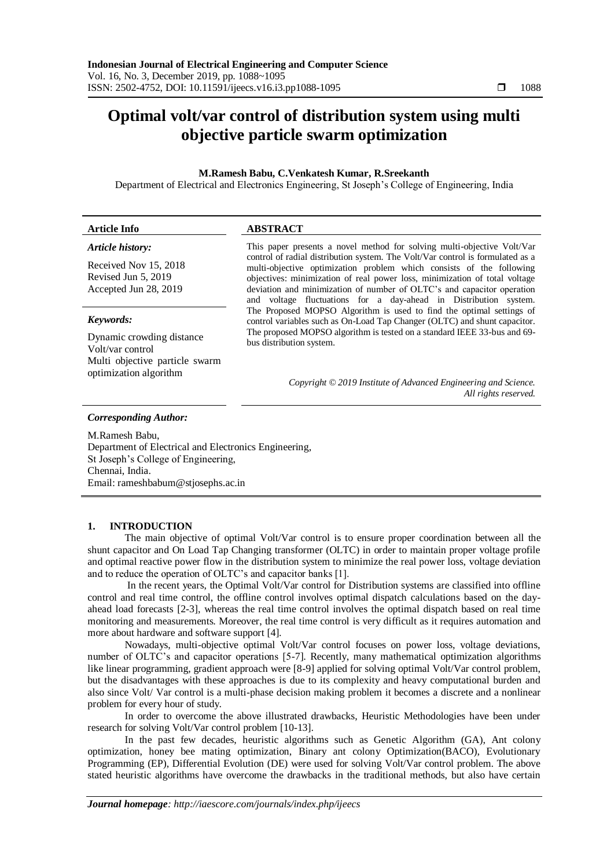# **Optimal volt/var control of distribution system using multi objective particle swarm optimization**

# **M.Ramesh Babu, C.Venkatesh Kumar, R.Sreekanth**

Department of Electrical and Electronics Engineering, St Joseph's College of Engineering, India

| <b>Article Info</b>            | <b>ABSTRACT</b>                                                                                                                                           |
|--------------------------------|-----------------------------------------------------------------------------------------------------------------------------------------------------------|
| Article history:               | This paper presents a novel method for solving multi-objective Volt/Var<br>control of radial distribution system. The Volt/Var control is formulated as a |
| Received Nov 15, 2018          | multi-objective optimization problem which consists of the following                                                                                      |
| Revised Jun 5, 2019            | objectives: minimization of real power loss, minimization of total voltage                                                                                |
| Accepted Jun 28, 2019          | deviation and minimization of number of OLTC's and capacitor operation                                                                                    |
|                                | and voltage fluctuations for a day-ahead in Distribution system.<br>The Proposed MOPSO Algorithm is used to find the optimal settings of                  |
| Keywords:                      | control variables such as On-Load Tap Changer (OLTC) and shunt capacitor.                                                                                 |
| Dynamic crowding distance      | The proposed MOPSO algorithm is tested on a standard IEEE 33-bus and 69-                                                                                  |
| Volt/var control               | bus distribution system.                                                                                                                                  |
| Multi objective particle swarm |                                                                                                                                                           |
| optimization algorithm         |                                                                                                                                                           |
|                                | Copyright © 2019 Institute of Advanced Engineering and Science.                                                                                           |

*All rights reserved.*

### *Corresponding Author:*

M.Ramesh Babu, Department of Electrical and Electronics Engineering, St Joseph's College of Engineering, Chennai, India. Email: rameshbabum@stjosephs.ac.in

## **1. INTRODUCTION**

The main objective of optimal Volt/Var control is to ensure proper coordination between all the shunt capacitor and On Load Tap Changing transformer (OLTC) in order to maintain proper voltage profile and optimal reactive power flow in the distribution system to minimize the real power loss, voltage deviation and to reduce the operation of OLTC's and capacitor banks [1].

In the recent years, the Optimal Volt/Var control for Distribution systems are classified into offline control and real time control, the offline control involves optimal dispatch calculations based on the dayahead load forecasts [2-3], whereas the real time control involves the optimal dispatch based on real time monitoring and measurements. Moreover, the real time control is very difficult as it requires automation and more about hardware and software support [4].

Nowadays, multi-objective optimal Volt/Var control focuses on power loss, voltage deviations, number of OLTC's and capacitor operations [5-7]. Recently, many mathematical optimization algorithms like linear programming, gradient approach were [8-9] applied for solving optimal Volt/Var control problem, but the disadvantages with these approaches is due to its complexity and heavy computational burden and also since Volt/ Var control is a multi-phase decision making problem it becomes a discrete and a nonlinear problem for every hour of study.

In order to overcome the above illustrated drawbacks, Heuristic Methodologies have been under research for solving Volt/Var control problem [10-13].

In the past few decades, heuristic algorithms such as Genetic Algorithm (GA), Ant colony optimization, honey bee mating optimization, Binary ant colony Optimization(BACO), Evolutionary Programming (EP), Differential Evolution (DE) were used for solving Volt/Var control problem. The above stated heuristic algorithms have overcome the drawbacks in the traditional methods, but also have certain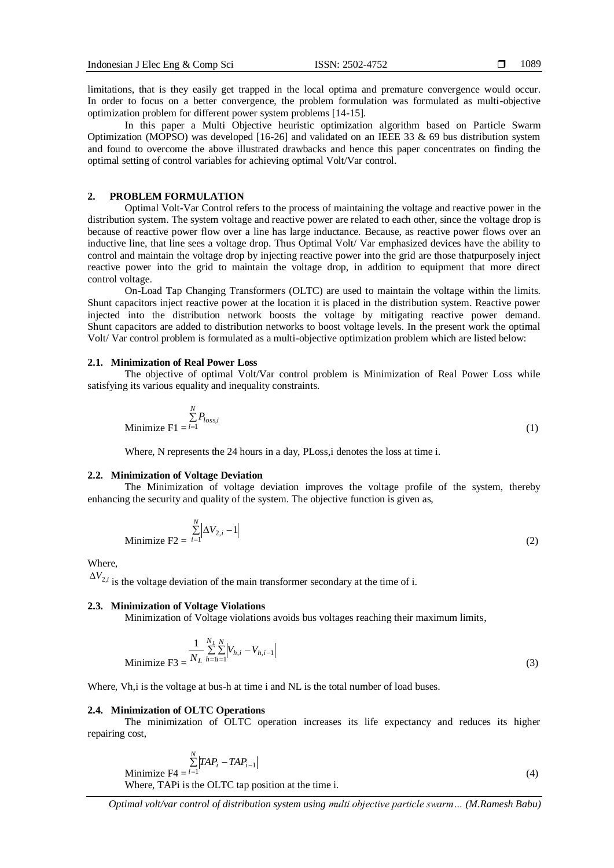limitations, that is they easily get trapped in the local optima and premature convergence would occur. In order to focus on a better convergence, the problem formulation was formulated as multi-objective optimization problem for different power system problems [14-15].

In this paper a Multi Objective heuristic optimization algorithm based on Particle Swarm Optimization (MOPSO) was developed [16-26] and validated on an IEEE 33  $\&$  69 bus distribution system and found to overcome the above illustrated drawbacks and hence this paper concentrates on finding the optimal setting of control variables for achieving optimal Volt/Var control.

## **2. PROBLEM FORMULATION**

Optimal Volt-Var Control refers to the process of maintaining the voltage and reactive power in the distribution system. The system voltage and reactive power are related to each other, since the voltage drop is because of reactive power flow over a line has large inductance. Because, as reactive power flows over an inductive line, that line sees a voltage drop. Thus Optimal Volt/ Var emphasized devices have the ability to control and maintain the voltage drop by injecting reactive power into the grid are those thatpurposely inject reactive power into the grid to maintain the voltage drop, in addition to equipment that more direct control voltage.

On-Load Tap Changing Transformers (OLTC) are used to maintain the voltage within the limits. Shunt capacitors inject reactive power at the location it is placed in the distribution system. Reactive power injected into the distribution network boosts the voltage by mitigating reactive power demand. Shunt capacitors are added to distribution networks to boost voltage levels. In the present work the optimal Volt/ Var control problem is formulated as a multi-objective optimization problem which are listed below:

# **2.1. Minimization of Real Power Loss**

The objective of optimal Volt/Var control problem is Minimization of Real Power Loss while satisfying its various equality and inequality constraints.

$$
\sum_{i=1}^{N} P_{loss,i}
$$
\nMinimize  $F1 = i=1$ 

\n
$$
(1)
$$

Where, N represents the 24 hours in a day, PLoss, i denotes the loss at time i.

## **2.2. Minimization of Voltage Deviation**

The Minimization of voltage deviation improves the voltage profile of the system, thereby enhancing the security and quality of the system. The objective function is given as,

$$
\text{Minimize } F2 = \sum_{i=1}^{N} \left| \Delta V_{2,i} - 1 \right| \tag{2}
$$

Where,

 $\Delta V_{2,i}$  is the voltage deviation of the main transformer secondary at the time of i.

## **2.3. Minimization of Voltage Violations**

Minimization of Voltage violations avoids bus voltages reaching their maximum limits,

Minimize 
$$
F3 = \frac{1}{N_L} \sum_{h=1}^{N_L} \sum_{j=1}^{N} |V_{h,i} - V_{h,i-1}|
$$
 (3)

Where, Vh, i is the voltage at bus-h at time i and NL is the total number of load buses.

## **2.4. Minimization of OLTC Operations**

The minimization of OLTC operation increases its life expectancy and reduces its higher repairing cost,

$$
\sum_{i=1}^{N} |TAP_i - TAP_{i-1}|
$$
\nMinimize F4 =  $i = 1$ 

\n
$$
(4)
$$

Where, TAPi is the OLTC tap position at the time i.

*Optimal volt/var control of distribution system using multi objective particle swarm… (M.Ramesh Babu)*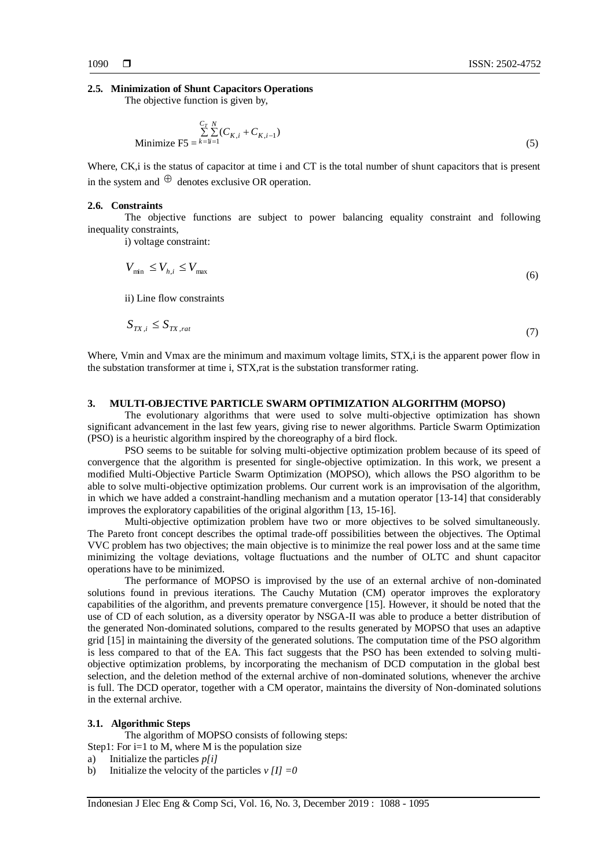#### **2.5. Minimization of Shunt Capacitors Operations**

The objective function is given by,

$$
\sum_{i=1}^{C_T} \sum_{j=1}^{N} (C_{K,i} + C_{K,i-1})
$$
\nMinimize F5 =  $k = 1$  (5)

Where, CK, i is the status of capacitor at time i and CT is the total number of shunt capacitors that is present in the system and  $\Theta$  denotes exclusive OR operation.

## **2.6. Constraints**

The objective functions are subject to power balancing equality constraint and following inequality constraints,

i) voltage constraint:

$$
V_{\min} \le V_{h,i} \le V_{\max} \tag{6}
$$

ii) Line flow constraints

$$
S_{TX,i} \le S_{TX, rat} \tag{7}
$$

Where, Vmin and Vmax are the minimum and maximum voltage limits, STX,i is the apparent power flow in the substation transformer at time i, STX,rat is the substation transformer rating.

## **3. MULTI-OBJECTIVE PARTICLE SWARM OPTIMIZATION ALGORITHM (MOPSO)**

The evolutionary algorithms that were used to solve multi-objective optimization has shown significant advancement in the last few years, giving rise to newer algorithms. Particle Swarm Optimization (PSO) is a heuristic algorithm inspired by the choreography of a bird flock.

PSO seems to be suitable for solving multi-objective optimization problem because of its speed of convergence that the algorithm is presented for single-objective optimization. In this work, we present a modified Multi-Objective Particle Swarm Optimization (MOPSO), which allows the PSO algorithm to be able to solve multi-objective optimization problems. Our current work is an improvisation of the algorithm, in which we have added a constraint-handling mechanism and a mutation operator [13-14] that considerably improves the exploratory capabilities of the original algorithm [13, 15-16].

Multi-objective optimization problem have two or more objectives to be solved simultaneously. The Pareto front concept describes the optimal trade-off possibilities between the objectives. The Optimal VVC problem has two objectives; the main objective is to minimize the real power loss and at the same time minimizing the voltage deviations, voltage fluctuations and the number of OLTC and shunt capacitor operations have to be minimized.

The performance of MOPSO is improvised by the use of an external archive of non-dominated solutions found in previous iterations. The Cauchy Mutation (CM) operator improves the exploratory capabilities of the algorithm, and prevents premature convergence [15]. However, it should be noted that the use of CD of each solution, as a diversity operator by NSGA-II was able to produce a better distribution of the generated Non-dominated solutions, compared to the results generated by MOPSO that uses an adaptive grid [15] in maintaining the diversity of the generated solutions. The computation time of the PSO algorithm is less compared to that of the EA. This fact suggests that the PSO has been extended to solving multiobjective optimization problems, by incorporating the mechanism of DCD computation in the global best selection, and the deletion method of the external archive of non-dominated solutions, whenever the archive is full. The DCD operator, together with a CM operator, maintains the diversity of Non-dominated solutions in the external archive.

#### **3.1. Algorithmic Steps**

The algorithm of MOPSO consists of following steps:

Step1: For  $i=1$  to M, where M is the population size

- a) Initialize the particles *p[i]*
- b) Initialize the velocity of the particles  $v \llbracket I \rrbracket = 0$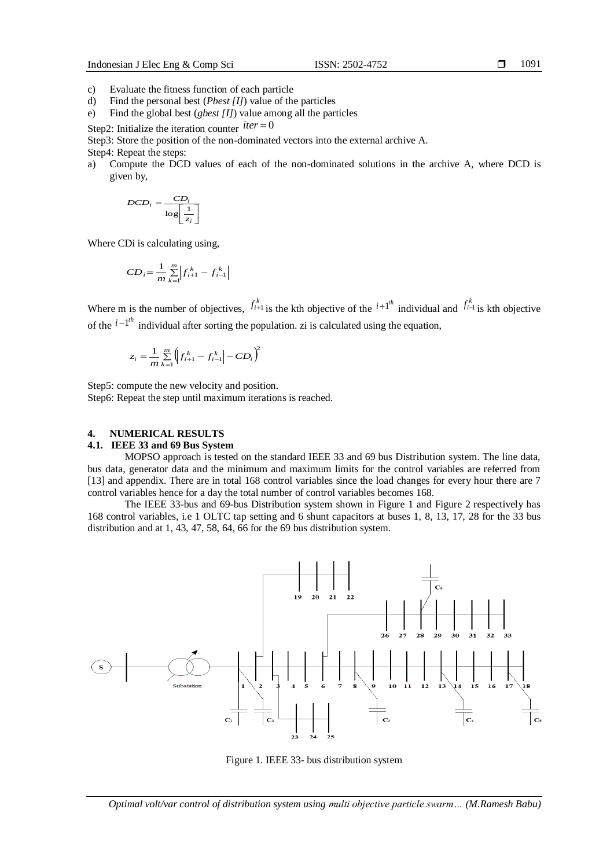1091

- c) Evaluate the fitness function of each particle
- d) Find the personal best (*Pbest [I]*) value of the particles
- e) Find the global best (*gbest [I]*) value among all the particles

Step2: Initialize the iteration counter  $iter = 0$ 

Step3: Store the position of the non-dominated vectors into the external archive A.

Step4: Repeat the steps:

a) Compute the DCD values of each of the non-dominated solutions in the archive A, where DCD is given by,

$$
DCD_i = \frac{CD_i}{\log\left[\frac{1}{z_i}\right]}
$$

Where CDi is calculating using,

$$
CD_i = \frac{1}{m} \sum_{k=1}^{m} \left| f_{i+1}^k - f_{i-1}^k \right|
$$

Where m is the number of objectives,  $f_{i+1}^k$  is the kth objective of the  $i+1^{th}$  individual and  $f_{i-1}^k$  is kth objective of the  $i-l<sup>th</sup>$  individual after sorting the population. zi is calculated using the equation,

$$
z_i = \frac{1}{m} \sum_{k=1}^{m} \left( f_{i+1}^k - f_{i-1}^k \right) - CD_i \bigg)^2
$$

Step5: compute the new velocity and position.

Step6: Repeat the step until maximum iterations is reached.

# **4. NUMERICAL RESULTS**

# **4.1. IEEE 33 and 69 Bus System**

MOPSO approach is tested on the standard IEEE 33 and 69 bus Distribution system. The line data, bus data, generator data and the minimum and maximum limits for the control variables are referred from [13] and appendix. There are in total 168 control variables since the load changes for every hour there are 7 control variables hence for a day the total number of control variables becomes 168.

The IEEE 33-bus and 69-bus Distribution system shown in Figure 1 and Figure 2 respectively has 168 control variables, i.e 1 OLTC tap setting and 6 shunt capacitors at buses 1, 8, 13, 17, 28 for the 33 bus distribution and at 1, 43, 47, 58, 64, 66 for the 69 bus distribution system.



Figure 1. IEEE 33- bus distribution system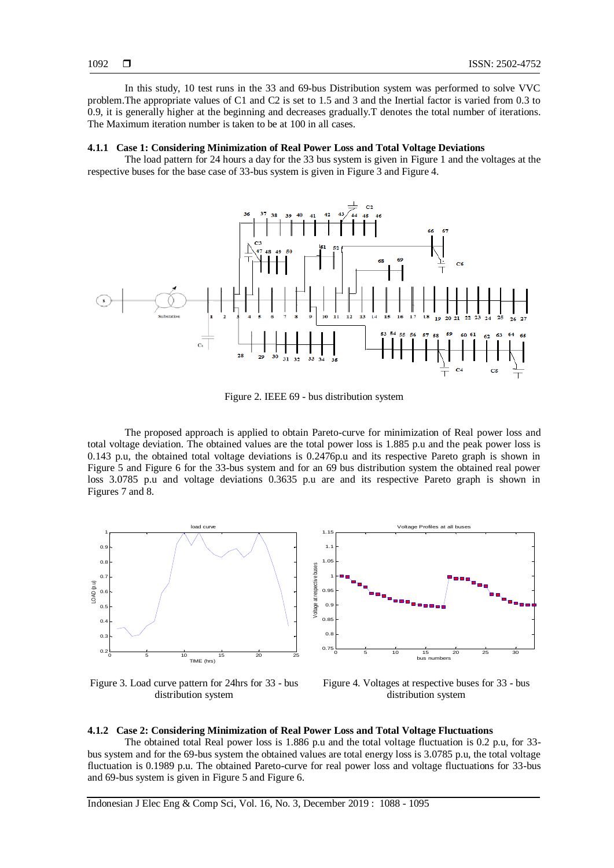In this study, 10 test runs in the 33 and 69-bus Distribution system was performed to solve VVC problem.The appropriate values of C1 and C2 is set to 1.5 and 3 and the Inertial factor is varied from 0.3 to 0.9, it is generally higher at the beginning and decreases gradually.T denotes the total number of iterations. The Maximum iteration number is taken to be at 100 in all cases.

# **4.1.1 Case 1: Considering Minimization of Real Power Loss and Total Voltage Deviations**

The load pattern for 24 hours a day for the 33 bus system is given in Figure 1 and the voltages at the respective buses for the base case of 33-bus system is given in Figure 3 and Figure 4.



Figure 2. IEEE 69 - bus distribution system

The proposed approach is applied to obtain Pareto-curve for minimization of Real power loss and total voltage deviation. The obtained values are the total power loss is 1.885 p.u and the peak power loss is 0.143 p.u, the obtained total voltage deviations is 0.2476p.u and its respective Pareto graph is shown in Figure 5 and Figure 6 for the 33-bus system and for an 69 bus distribution system the obtained real power loss 3.0785 p.u and voltage deviations 0.3635 p.u are and its respective Pareto graph is shown in Figures 7 and 8.



Figure 3. Load curve pattern for 24hrs for 33 - bus distribution system



#### **4.1.2 Case 2: Considering Minimization of Real Power Loss and Total Voltage Fluctuations**

The obtained total Real power loss is 1.886 p.u and the total voltage fluctuation is 0.2 p.u, for 33 bus system and for the 69-bus system the obtained values are total energy loss is 3.0785 p.u, the total voltage fluctuation is 0.1989 p.u. The obtained Pareto-curve for real power loss and voltage fluctuations for 33-bus and 69-bus system is given in Figure 5 and Figure 6.

Indonesian J Elec Eng & Comp Sci, Vol. 16, No. 3, December 2019 : 1088 - 1095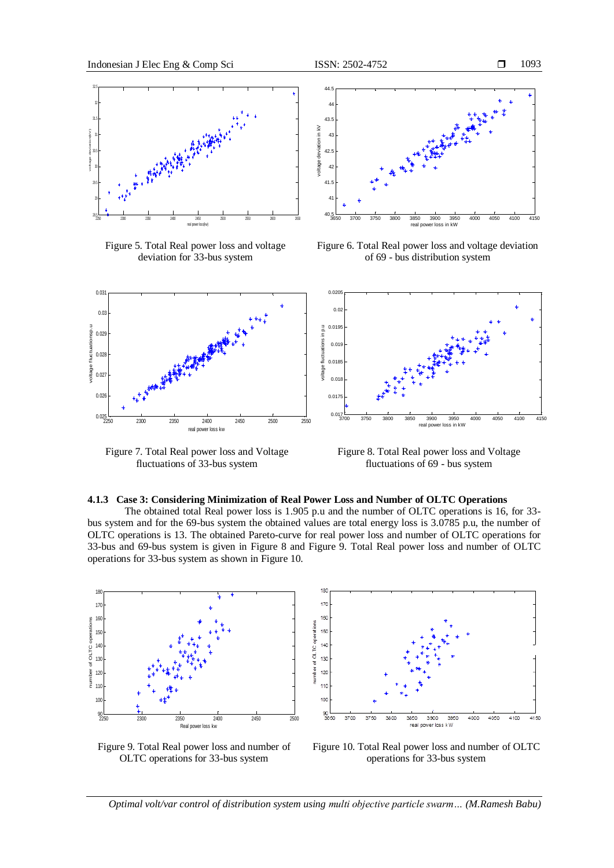

Figure 5. Total Real power loss and voltage deviation for 33-bus system



Figure 6. Total Real power loss and voltage deviation of 69 - bus distribution system



Figure 7. Total Real power loss and Voltage fluctuations of 33-bus system

Figure 8. Total Real power loss and Voltage fluctuations of 69 - bus system

#### **4.1.3 Case 3: Considering Minimization of Real Power Loss and Number of OLTC Operations**

The obtained total Real power loss is 1.905 p.u and the number of OLTC operations is 16, for 33 bus system and for the 69-bus system the obtained values are total energy loss is 3.0785 p.u, the number of OLTC operations is 13. The obtained Pareto-curve for real power loss and number of OLTC operations for 33-bus and 69-bus system is given in Figure 8 and Figure 9. Total Real power loss and number of OLTC operations for 33-bus system as shown in Figure 10.



170 160 merations 150  $140$ of OLTC 130 ě 120 10 —ا 90<br>3850 3700 3900 4100 4150 3750 3800 3950 4000 4050 3850 real o ver loss k W

Figure 9. Total Real power loss and number of OLTC operations for 33-bus system



*Optimal volt/var control of distribution system using multi objective particle swarm… (M.Ramesh Babu)*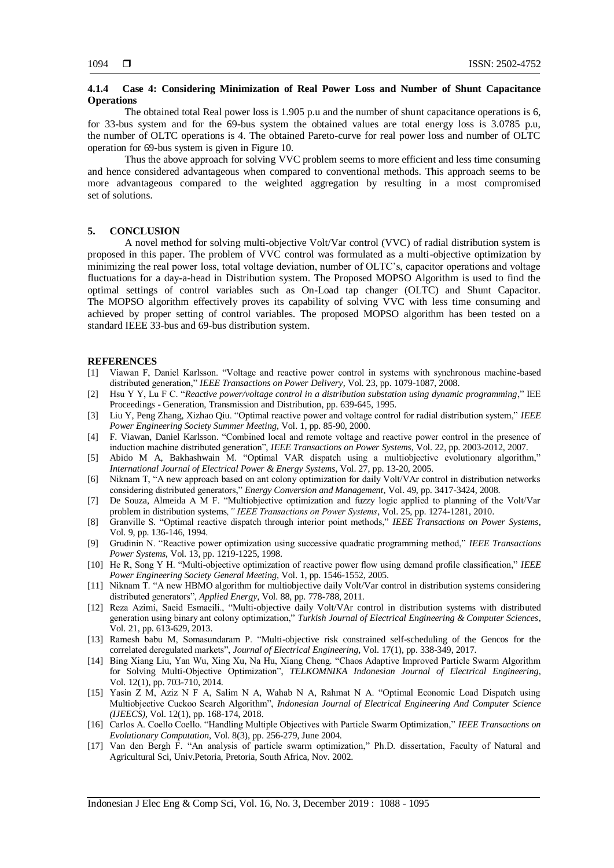## **4.1.4 Case 4: Considering Minimization of Real Power Loss and Number of Shunt Capacitance Operations**

The obtained total Real power loss is 1.905 p.u and the number of shunt capacitance operations is 6, for 33-bus system and for the 69-bus system the obtained values are total energy loss is 3.0785 p.u, the number of OLTC operations is 4. The obtained Pareto-curve for real power loss and number of OLTC operation for 69-bus system is given in Figure 10.

Thus the above approach for solving VVC problem seems to more efficient and less time consuming and hence considered advantageous when compared to conventional methods. This approach seems to be more advantageous compared to the weighted aggregation by resulting in a most compromised set of solutions.

#### **5. CONCLUSION**

A novel method for solving multi-objective Volt/Var control (VVC) of radial distribution system is proposed in this paper. The problem of VVC control was formulated as a multi-objective optimization by minimizing the real power loss, total voltage deviation, number of OLTC's, capacitor operations and voltage fluctuations for a day-a-head in Distribution system. The Proposed MOPSO Algorithm is used to find the optimal settings of control variables such as On-Load tap changer (OLTC) and Shunt Capacitor. The MOPSO algorithm effectively proves its capability of solving VVC with less time consuming and achieved by proper setting of control variables. The proposed MOPSO algorithm has been tested on a standard IEEE 33-bus and 69-bus distribution system.

#### **REFERENCES**

- [1] Viawan F, Daniel Karlsson. "Voltage and reactive power control in systems with synchronous machine-based distributed generation," *IEEE Transactions on Power Delivery*, Vol. 23, pp. 1079-1087, 2008.
- [2] Hsu Y Y, Lu F C. "*Reactive power/voltage control in a distribution substation using dynamic programming*," IEE Proceedings - Generation, Transmission and Distribution, pp. 639-645, 1995.
- [3] Liu Y, [Peng Zhang,](https://ieeexplore.ieee.org/author/37363695300) [Xizhao Qiu.](https://ieeexplore.ieee.org/author/37437453900) "Optimal reactive power and voltage control for radial distribution system," *IEEE Power Engineering Society Summer Meeting*, Vol. 1, pp. 85-90, 2000.
- [4] F. Viawan, [Daniel Karlsson.](https://ieeexplore.ieee.org/author/37267637600) "Combined local and remote voltage and reactive power control in the presence of induction machine distributed generation", *IEEE Transactions on Power Systems*, Vol. 22, pp. 2003-2012, 2007.
- [5] Abido M A, [Bakhashwain](https://www.sciencedirect.com/science/article/pii/S0142061504000985#!) M. "Optimal VAR dispatch using a multiobjective evolutionary algorithm," *International Journal of Electrical Power & Energy Systems*, Vol. 27, pp. 13-20, 2005.
- [6] Niknam T, "A new approach based on ant colony optimization for daily Volt/VAr control in distribution networks considering distributed generators," *Energy Conversion and Management*, Vol. 49, pp. 3417-3424, 2008.
- [7] De Souza, [Almeida](https://ieeexplore.ieee.org/author/38251887000) A M F. "Multiobjective optimization and fuzzy logic applied to planning of the Volt/Var problem in distribution systems*," IEEE Transactions on Power Systems*, Vol. 25, pp. 1274-1281, 2010.
- [8] Granville S. "Optimal reactive dispatch through interior point methods," *IEEE Transactions on Power Systems*, Vol. 9, pp. 136-146, 1994.
- [9] Grudinin N. "Reactive power optimization using successive quadratic programming method," *IEEE Transactions Power Systems*, Vol. 13, pp. 1219-1225, 1998.
- [10] He R, Song Y H. "Multi-objective optimization of reactive power flow using demand profile classification," *IEEE Power Engineering Society General Meeting*, Vol. 1, pp. 1546-1552, 2005.
- [11] Niknam T. "A new HBMO algorithm for multiobjective daily Volt/Var control in distribution systems considering distributed generators", *Applied Energy*, Vol. 88, pp. 778-788, 2011.
- [12] Reza Azimi, Saeid Esmaeili., "Multi-objective daily Volt/VAr control in distribution systems with distributed generation using binary ant colony optimization," *Turkish Journal of Electrical Engineering & Computer Sciences*, Vol. 21, pp. 613-629, 2013.
- [13] Ramesh babu M, Somasundaram P. "Multi-objective risk constrained self-scheduling of the Gencos for the correlated deregulated markets", *Journal of Electrical Engineering*, Vol. 17(1), pp. 338-349, 2017.
- [14] Bing Xiang Liu, Yan Wu, Xing Xu, Na Hu, Xiang Cheng. "Chaos Adaptive Improved Particle Swarm Algorithm for Solving Multi-Objective Optimization", *TELKOMNIKA Indonesian Journal of Electrical Engineering*, Vol. 12(1), pp. 703-710, 2014.
- [15] Yasin Z M, Aziz N F A, Salim N A, Wahab N A, Rahmat N A. "Optimal Economic Load Dispatch using Multiobjective Cuckoo Search Algorithm", *Indonesian Journal of Electrical Engineering And Computer Science (IJEECS)*, Vol. 12(1), pp. 168-174, 2018.
- [16] Carlos A. Coello Coello. "Handling Multiple Objectives with Particle Swarm Optimization," *IEEE Transactions on Evolutionary Computation*, Vol. 8(3), pp. 256-279, June 2004.
- [17] Van den Bergh F. "An analysis of particle swarm optimization," Ph.D. dissertation, Faculty of Natural and Agricultural Sci, Univ.Petoria, Pretoria, South Africa, Nov. 2002.

Indonesian J Elec Eng & Comp Sci, Vol. 16, No. 3, December 2019 : 1088 - 1095